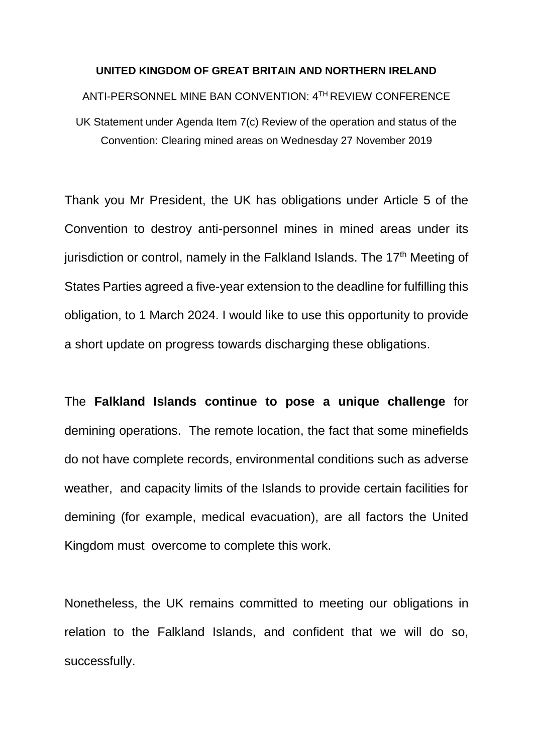## **UNITED KINGDOM OF GREAT BRITAIN AND NORTHERN IRELAND**

## ANTI-PERSONNEL MINE BAN CONVENTION: 4TH REVIEW CONFERENCE

UK Statement under Agenda Item 7(c) Review of the operation and status of the Convention: Clearing mined areas on Wednesday 27 November 2019

Thank you Mr President, the UK has obligations under Article 5 of the Convention to destroy anti-personnel mines in mined areas under its jurisdiction or control, namely in the Falkland Islands. The  $17<sup>th</sup>$  Meeting of States Parties agreed a five-year extension to the deadline for fulfilling this obligation, to 1 March 2024. I would like to use this opportunity to provide a short update on progress towards discharging these obligations.

The **Falkland Islands continue to pose a unique challenge** for demining operations. The remote location, the fact that some minefields do not have complete records, environmental conditions such as adverse weather, and capacity limits of the Islands to provide certain facilities for demining (for example, medical evacuation), are all factors the United Kingdom must overcome to complete this work.

Nonetheless, the UK remains committed to meeting our obligations in relation to the Falkland Islands, and confident that we will do so, successfully.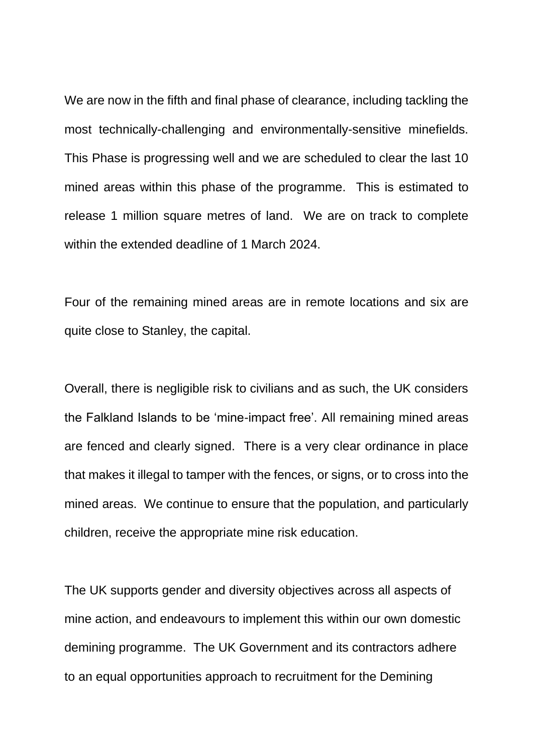We are now in the fifth and final phase of clearance, including tackling the most technically-challenging and environmentally-sensitive minefields. This Phase is progressing well and we are scheduled to clear the last 10 mined areas within this phase of the programme. This is estimated to release 1 million square metres of land. We are on track to complete within the extended deadline of 1 March 2024

Four of the remaining mined areas are in remote locations and six are quite close to Stanley, the capital.

Overall, there is negligible risk to civilians and as such, the UK considers the Falkland Islands to be 'mine-impact free'. All remaining mined areas are fenced and clearly signed. There is a very clear ordinance in place that makes it illegal to tamper with the fences, or signs, or to cross into the mined areas. We continue to ensure that the population, and particularly children, receive the appropriate mine risk education.

The UK supports gender and diversity objectives across all aspects of mine action, and endeavours to implement this within our own domestic demining programme. The UK Government and its contractors adhere to an equal opportunities approach to recruitment for the Demining